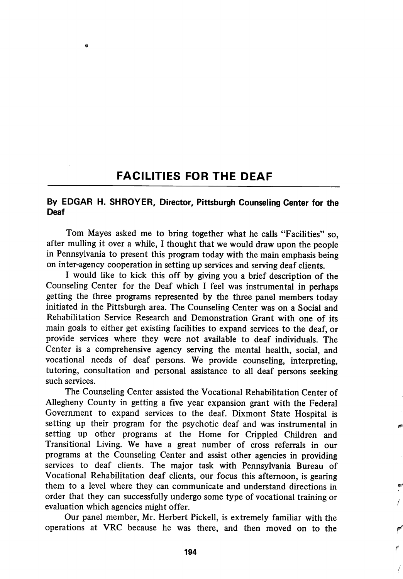## FACILITIES FOR THE DEAF

é

## By EDGAR H. SHROYER, Director, Pittsburgh Counseling Center for the Deaf

Tom Mayes asked me to bring together what he calls "Facilities" so, after mulling it over a while, 1 thought that we would draw upon the people in Pennsylvania to present this program today with the main emphasis being on inter-agency cooperation in setting up services and serving deaf clients.

I would like to kick this off by giving you a brief description of the Counseling Center for the Deaf which I feel was instrumental in perhaps getting the three programs represented by the three panel members today initiated in the Pittsburgh area. The Counseling Center was on a Social and Rehabilitation Service Research and Demonstration Grant with one of its main goals to either get existing facilities to expand services to the deaf, or provide services where they were not available to deaf individuals. The Center is a comprehensive agency serving the mental health, social, and vocational needs of deaf persons. We provide counseling, interpreting, tutoring, consultation and personal assistance to all deaf persons seeking such services.

The Counseling Center assisted the Vocational Rehabilitation Center of Allegheny County in getting a five year expansion grant with the Federal Government to expand services to the deaf. Dixmont State Hospital is setting up their program for the psychotic deaf and was instrumental in setting up other programs at the Home for Crippled Children and Transitional Living. We have a great number of cross referrals in our programs at the Counseling Center and assist other agencies in providing services to deaf clients. The major task with Pennsylvania Bureau of Vocational Rehabilitation deaf clients, our focus this afternoon, is gearing them to a level where they can communicate and understand directions in order that they can successfully undergo some type of vocational training or evaluation which agencies might offer.

Our panel member, Mr. Herbert Pickell, is extremely familiar with the operations at VRC because he was there, and then moved on to the